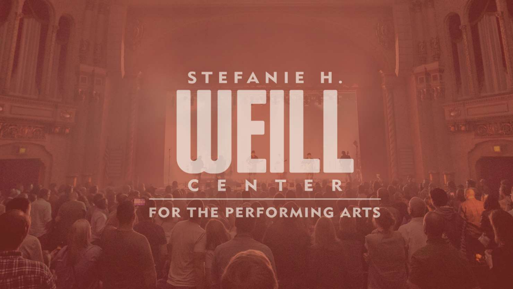### STEFANIE H.

### C E N T E R FOR THE PERFORMING ARTS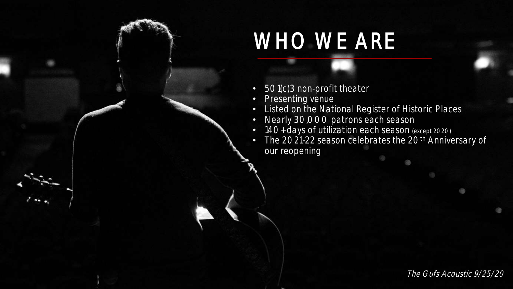## WHO WE ARE

- 501(c)3 non-profit theater
- Presenting venue
- Listed on the National Register of Historic Places
- Nearly 30,000 patrons each season
- 14O+ days of utilization each season (except 2020)
- The 2021-22 season celebrates the  $2O<sup>th</sup>$  Anniversary of our reopening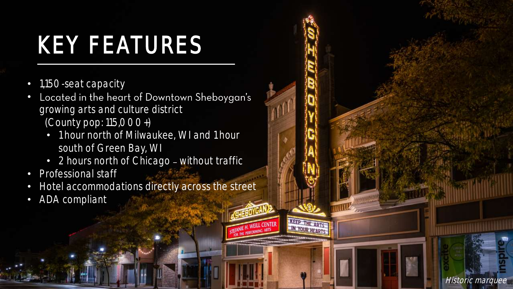# KEY FEATURES

- 1,150-seat capacity
- Located in the heart of Downtown Sheboygan's  $\bullet$ growing arts and culture district
	- (County pop: 115,000+)
	- 1 hour north of Milwaukee, WI and 1 hour south of Green Bay, WI
	- 2 hours north of Chicago without traffic
- Professional staff
- Hotel accommodations directly across the street

KEEP THE APT IN YOUR HEAR

Historic marquee

• ADA compliant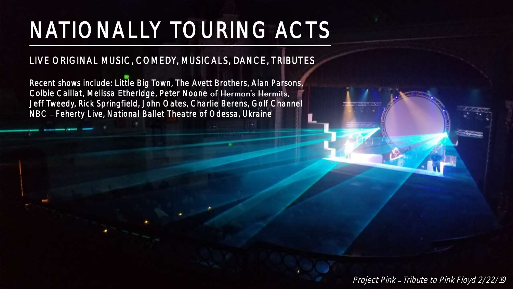# NATIONALLY TOURING ACTS

#### LIVE ORIGINAL MUSIC, COMEDY, MUSICALS, DANCE, TRIBUTES

Recent shows include: Little Big Town, The Avett Brothers, Alan Parsons, Colbie Caillat, Melissa Etheridge, Peter Noone of Herman's Hermits, Jeff Tweedy, Rick Springfield, John Oates, Charlie Berens, Golf Channel NBC - Feherty Live, National Ballet Theatre of Odessa, Ukraine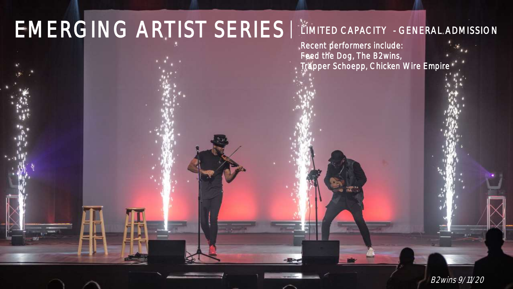# EMERGING ARTIST SERIES | LIMITED CAPACITY - GENERAL ADMISSION

Recent performers include: Feed the Dog, The B2wins, Trapper Schoepp, Chicken Wire Empire

B2wins 9/11/20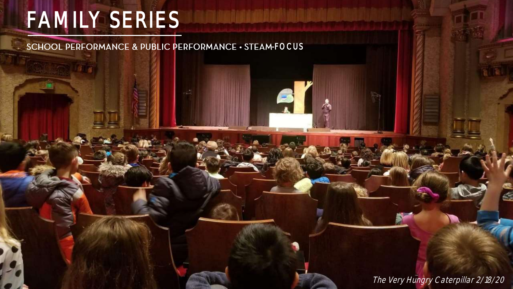### FAMILY SERIES

SCHOOL PERFORMANCE & PUBLIC PERFORMANCE . STEAM-FOCUS

Ą

The Very Hungry Caterpillar 2/18/20

đ.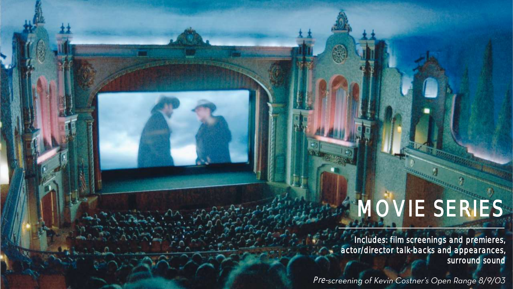# MOVIE SERIES

Includes: film screenings and premieres, actor/director talk-backs and appearances, surround sound

Pre-screening of Kevin Costner's Open Range 8/9/03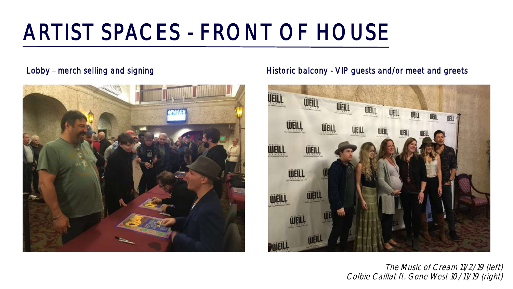# ARTIST SPACES - FRONT OF HOUSE

#### Lobby - merch selling and signing



#### Historic balcony - VIP guests and/or meet and greets



The Music of Cream 11/2/19 (left) Colbie Caillat ft. Gone West 10/11/19 (right)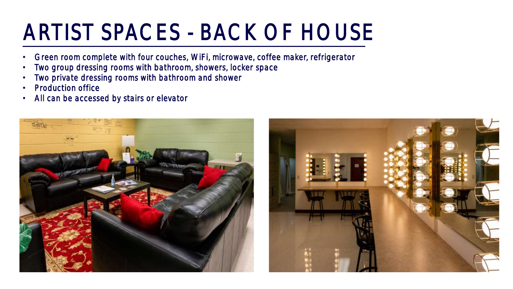# ARTIST SPACES - BACK OF HOUSE

- Green room complete with four couches, WiFi, microwave, coffee maker, refrigerator
- Two group dressing rooms with bathroom, showers, locker space
- Two private dressing rooms with bathroom and shower
- Production office
- All can be accessed by stairs or elevator



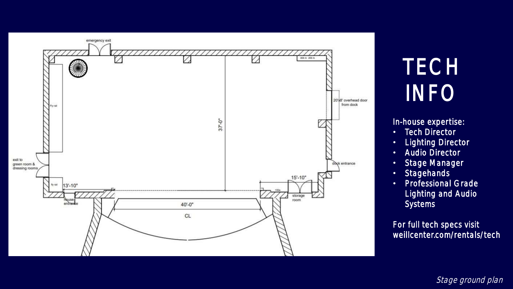

# **TECH** INFO

In-house expertise:

- Tech Director
- Lighting Director
- Audio Director
- Stage Manager
- Stagehands
- Professional Grade Lighting and Audio **Systems**

For full tech specs visit weillcenter.com/rentals/tech

Stage ground plan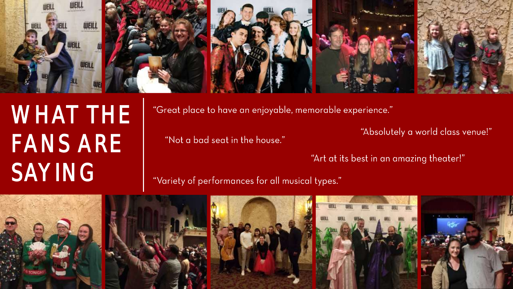

**WHAT THE FANS ARE** SAYING

"Great place to have an enjoyable, memorable experience."

"Not a bad seat in the house."

"Absolutely a world class venue!"

"Art at its best in an amazing theater!"

"Variety of performances for all musical types."